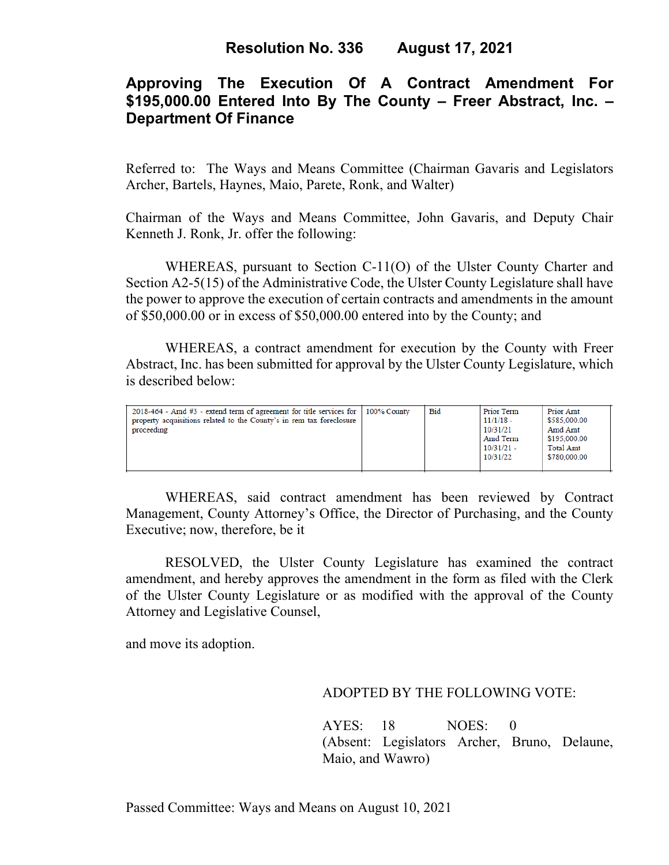# **Approving The Execution Of A Contract Amendment For \$195,000.00 Entered Into By The County – Freer Abstract, Inc. – Department Of Finance**

Referred to: The Ways and Means Committee (Chairman Gavaris and Legislators Archer, Bartels, Haynes, Maio, Parete, Ronk, and Walter)

Chairman of the Ways and Means Committee, John Gavaris, and Deputy Chair Kenneth J. Ronk, Jr. offer the following:

WHEREAS, pursuant to Section C-11(O) of the Ulster County Charter and Section A2-5(15) of the Administrative Code, the Ulster County Legislature shall have the power to approve the execution of certain contracts and amendments in the amount of \$50,000.00 or in excess of \$50,000.00 entered into by the County; and

WHEREAS, a contract amendment for execution by the County with Freer Abstract, Inc. has been submitted for approval by the Ulster County Legislature, which is described below:

| $2018-464$ - Amd #3 - extend term of agreement for title services for<br>property acquisitions related to the County's in rem tax foreclosure<br>proceeding | $100\%$ County | <b>Bid</b> | Prior Term<br>$11/1/18$ -<br>10/31/21<br>Amd Term<br>$10/31/21 -$<br>10/31/22 | Prior Amt<br>\$585,000.00<br>Amd Amt<br>\$195,000.00<br>Total Amt<br>\$780,000.00 |
|-------------------------------------------------------------------------------------------------------------------------------------------------------------|----------------|------------|-------------------------------------------------------------------------------|-----------------------------------------------------------------------------------|
|-------------------------------------------------------------------------------------------------------------------------------------------------------------|----------------|------------|-------------------------------------------------------------------------------|-----------------------------------------------------------------------------------|

WHEREAS, said contract amendment has been reviewed by Contract Management, County Attorney's Office, the Director of Purchasing, and the County Executive; now, therefore, be it

RESOLVED, the Ulster County Legislature has examined the contract amendment, and hereby approves the amendment in the form as filed with the Clerk of the Ulster County Legislature or as modified with the approval of the County Attorney and Legislative Counsel,

and move its adoption.

### ADOPTED BY THE FOLLOWING VOTE:

AYES: 18 NOES: 0 (Absent: Legislators Archer, Bruno, Delaune, Maio, and Wawro)